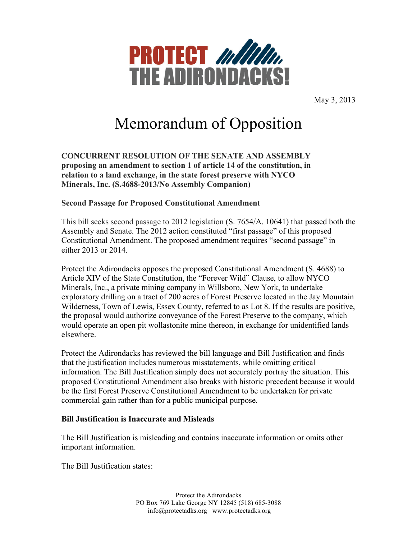

May 3, 2013

# Memorandum of Opposition

**CONCURRENT RESOLUTION OF THE SENATE AND ASSEMBLY proposing an amendment to section 1 of article 14 of the constitution, in relation to a land exchange, in the state forest preserve with NYCO Minerals, Inc. (S.4688-2013/No Assembly Companion)**

# **Second Passage for Proposed Constitutional Amendment**

This bill seeks second passage to 2012 legislation (S. 7654/A. 10641) that passed both the Assembly and Senate. The 2012 action constituted "first passage" of this proposed Constitutional Amendment. The proposed amendment requires "second passage" in either 2013 or 2014.

Protect the Adirondacks opposes the proposed Constitutional Amendment (S. 4688) to Article XIV of the State Constitution, the "Forever Wild" Clause, to allow NYCO Minerals, Inc., a private mining company in Willsboro, New York, to undertake exploratory drilling on a tract of 200 acres of Forest Preserve located in the Jay Mountain Wilderness, Town of Lewis, Essex County, referred to as Lot 8. If the results are positive, the proposal would authorize conveyance of the Forest Preserve to the company, which would operate an open pit wollastonite mine thereon, in exchange for unidentified lands elsewhere.

Protect the Adirondacks has reviewed the bill language and Bill Justification and finds that the justification includes numerous misstatements, while omitting critical information. The Bill Justification simply does not accurately portray the situation. This proposed Constitutional Amendment also breaks with historic precedent because it would be the first Forest Preserve Constitutional Amendment to be undertaken for private commercial gain rather than for a public municipal purpose.

# **Bill Justification is Inaccurate and Misleads**

The Bill Justification is misleading and contains inaccurate information or omits other important information.

The Bill Justification states: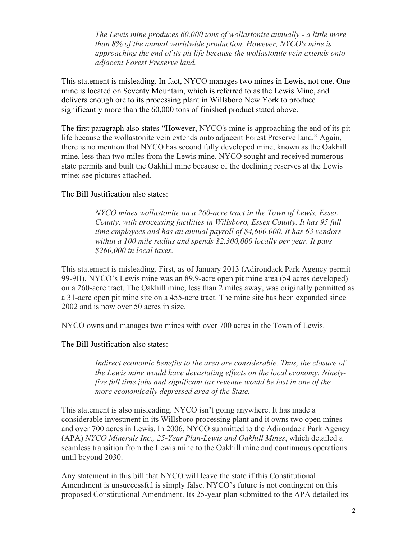*The Lewis mine produces 60,000 tons of wollastonite annually - a little more than 8% of the annual worldwide production. However, NYCO's mine is approaching the end of its pit life because the wollastonite vein extends onto adjacent Forest Preserve land.*

This statement is misleading. In fact, NYCO manages two mines in Lewis, not one. One mine is located on Seventy Mountain, which is referred to as the Lewis Mine, and delivers enough ore to its processing plant in Willsboro New York to produce significantly more than the 60,000 tons of finished product stated above.

The first paragraph also states "However, NYCO's mine is approaching the end of its pit life because the wollastonite vein extends onto adjacent Forest Preserve land." Again, there is no mention that NYCO has second fully developed mine, known as the Oakhill mine, less than two miles from the Lewis mine. NYCO sought and received numerous state permits and built the Oakhill mine because of the declining reserves at the Lewis mine; see pictures attached.

The Bill Justification also states:

*NYCO mines wollastonite on a 260-acre tract in the Town of Lewis, Essex County, with processing facilities in Willsboro, Essex County. It has 95 full time employees and has an annual payroll of \$4,600,000. It has 63 vendors within a 100 mile radius and spends \$2,300,000 locally per year. It pays \$260,000 in local taxes.* 

This statement is misleading. First, as of January 2013 (Adirondack Park Agency permit 99-9II), NYCO's Lewis mine was an 89.9-acre open pit mine area (54 acres developed) on a 260-acre tract. The Oakhill mine, less than 2 miles away, was originally permitted as a 31-acre open pit mine site on a 455-acre tract. The mine site has been expanded since 2002 and is now over 50 acres in size.

NYCO owns and manages two mines with over 700 acres in the Town of Lewis.

The Bill Justification also states:

*Indirect economic benefits to the area are considerable. Thus, the closure of the Lewis mine would have devastating effects on the local economy. Ninetyfive full time jobs and significant tax revenue would be lost in one of the more economically depressed area of the State.*

This statement is also misleading. NYCO isn't going anywhere. It has made a considerable investment in its Willsboro processing plant and it owns two open mines and over 700 acres in Lewis. In 2006, NYCO submitted to the Adirondack Park Agency (APA) *NYCO Minerals Inc., 25-Year Plan-Lewis and Oakhill Mines*, which detailed a seamless transition from the Lewis mine to the Oakhill mine and continuous operations until beyond 2030.

Any statement in this bill that NYCO will leave the state if this Constitutional Amendment is unsuccessful is simply false. NYCO's future is not contingent on this proposed Constitutional Amendment. Its 25-year plan submitted to the APA detailed its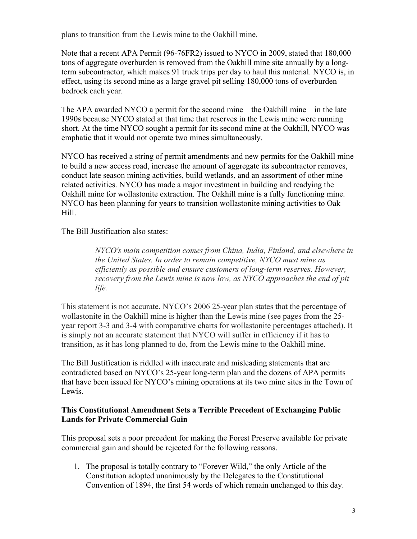plans to transition from the Lewis mine to the Oakhill mine.

Note that a recent APA Permit (96-76FR2) issued to NYCO in 2009, stated that 180,000 tons of aggregate overburden is removed from the Oakhill mine site annually by a longterm subcontractor, which makes 91 truck trips per day to haul this material. NYCO is, in effect, using its second mine as a large gravel pit selling 180,000 tons of overburden bedrock each year.

The APA awarded NYCO a permit for the second mine – the Oakhill mine – in the late 1990s because NYCO stated at that time that reserves in the Lewis mine were running short. At the time NYCO sought a permit for its second mine at the Oakhill, NYCO was emphatic that it would not operate two mines simultaneously.

NYCO has received a string of permit amendments and new permits for the Oakhill mine to build a new access road, increase the amount of aggregate its subcontractor removes, conduct late season mining activities, build wetlands, and an assortment of other mine related activities. NYCO has made a major investment in building and readying the Oakhill mine for wollastonite extraction. The Oakhill mine is a fully functioning mine. NYCO has been planning for years to transition wollastonite mining activities to Oak Hill.

The Bill Justification also states:

*NYCO's main competition comes from China, India, Finland, and elsewhere in the United States. In order to remain competitive, NYCO must mine as efficiently as possible and ensure customers of long-term reserves. However, recovery from the Lewis mine is now low, as NYCO approaches the end of pit life.* 

This statement is not accurate. NYCO's 2006 25-year plan states that the percentage of wollastonite in the Oakhill mine is higher than the Lewis mine (see pages from the 25 year report 3-3 and 3-4 with comparative charts for wollastonite percentages attached). It is simply not an accurate statement that NYCO will suffer in efficiency if it has to transition, as it has long planned to do, from the Lewis mine to the Oakhill mine.

The Bill Justification is riddled with inaccurate and misleading statements that are contradicted based on NYCO's 25-year long-term plan and the dozens of APA permits that have been issued for NYCO's mining operations at its two mine sites in the Town of Lewis.

# **This Constitutional Amendment Sets a Terrible Precedent of Exchanging Public Lands for Private Commercial Gain**

This proposal sets a poor precedent for making the Forest Preserve available for private commercial gain and should be rejected for the following reasons.

1. The proposal is totally contrary to "Forever Wild," the only Article of the Constitution adopted unanimously by the Delegates to the Constitutional Convention of 1894, the first 54 words of which remain unchanged to this day.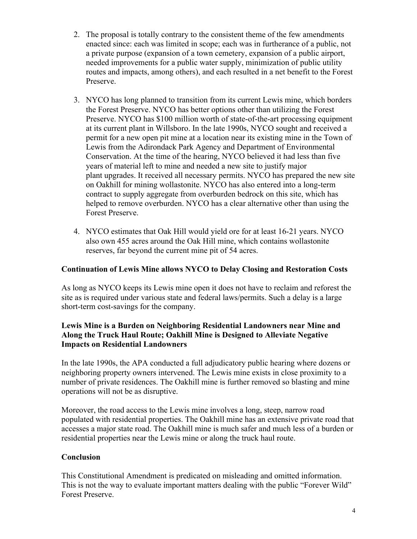- 2. The proposal is totally contrary to the consistent theme of the few amendments enacted since: each was limited in scope; each was in furtherance of a public, not a private purpose (expansion of a town cemetery, expansion of a public airport, needed improvements for a public water supply, minimization of public utility routes and impacts, among others), and each resulted in a net benefit to the Forest Preserve.
- 3. NYCO has long planned to transition from its current Lewis mine, which borders the Forest Preserve. NYCO has better options other than utilizing the Forest Preserve. NYCO has \$100 million worth of state-of-the-art processing equipment at its current plant in Willsboro. In the late 1990s, NYCO sought and received a permit for a new open pit mine at a location near its existing mine in the Town of Lewis from the Adirondack Park Agency and Department of Environmental Conservation. At the time of the hearing, NYCO believed it had less than five years of material left to mine and needed a new site to justify major plant upgrades. It received all necessary permits. NYCO has prepared the new site on Oakhill for mining wollastonite. NYCO has also entered into a long-term contract to supply aggregate from overburden bedrock on this site, which has helped to remove overburden. NYCO has a clear alternative other than using the Forest Preserve.
- 4. NYCO estimates that Oak Hill would yield ore for at least 16-21 years. NYCO also own 455 acres around the Oak Hill mine, which contains wollastonite reserves, far beyond the current mine pit of 54 acres.

## **Continuation of Lewis Mine allows NYCO to Delay Closing and Restoration Costs**

As long as NYCO keeps its Lewis mine open it does not have to reclaim and reforest the site as is required under various state and federal laws/permits. Such a delay is a large short-term cost-savings for the company.

# **Lewis Mine is a Burden on Neighboring Residential Landowners near Mine and Along the Truck Haul Route; Oakhill Mine is Designed to Alleviate Negative Impacts on Residential Landowners**

In the late 1990s, the APA conducted a full adjudicatory public hearing where dozens or neighboring property owners intervened. The Lewis mine exists in close proximity to a number of private residences. The Oakhill mine is further removed so blasting and mine operations will not be as disruptive.

Moreover, the road access to the Lewis mine involves a long, steep, narrow road populated with residential properties. The Oakhill mine has an extensive private road that accesses a major state road. The Oakhill mine is much safer and much less of a burden or residential properties near the Lewis mine or along the truck haul route.

# **Conclusion**

This Constitutional Amendment is predicated on misleading and omitted information. This is not the way to evaluate important matters dealing with the public "Forever Wild" Forest Preserve.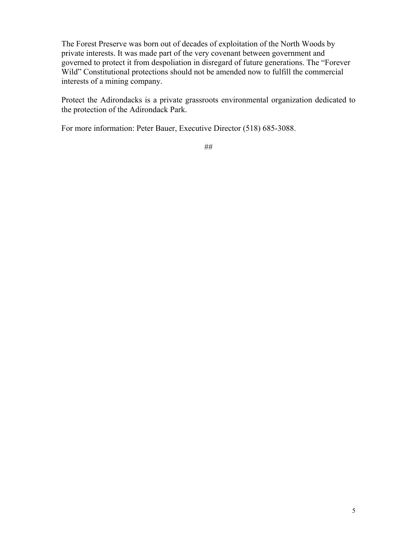The Forest Preserve was born out of decades of exploitation of the North Woods by private interests. It was made part of the very covenant between government and governed to protect it from despoliation in disregard of future generations. The "Forever Wild" Constitutional protections should not be amended now to fulfill the commercial interests of a mining company.

Protect the Adirondacks is a private grassroots environmental organization dedicated to the protection of the Adirondack Park.

For more information: Peter Bauer, Executive Director (518) 685-3088.

##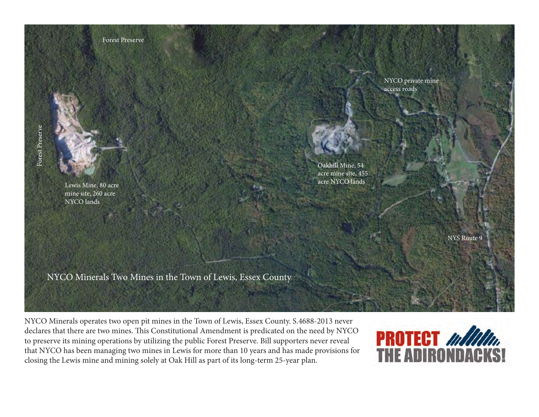

NYCO Minerals operates two open pit mines in the Town of Lewis, Essex County. S.4688-2013 never declares that there are two mines. This Constitutional Amendment is predicated on the need by NYCO to preserve its mining operations by utilizing the public Forest Preserve. Bill supporters never reveal that NYCO has been managing two mines in Lewis for more than 10 years and has made provisions for closing the Lewis mine and mining solely at Oak Hill as part of its long-term 25-year plan.

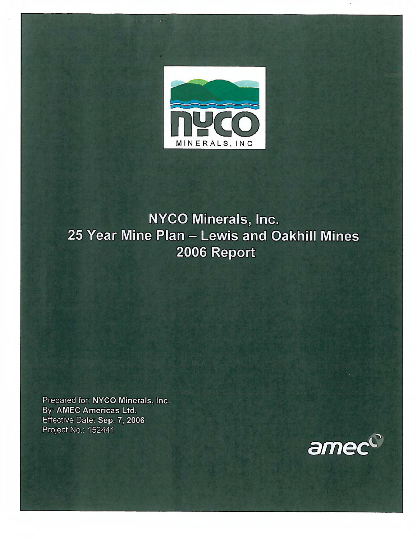

 $\mathbf{a}$ 

# NYCO Minerals, Inc. 25 Year Mine Plan - Lewis and Oakhill Mines 2006 Report

Prepared for: NYCO Minerals, Inc. By: AMEC Americas Ltd. Effective Date: Sep. 7, 2006 Project No.: 152441

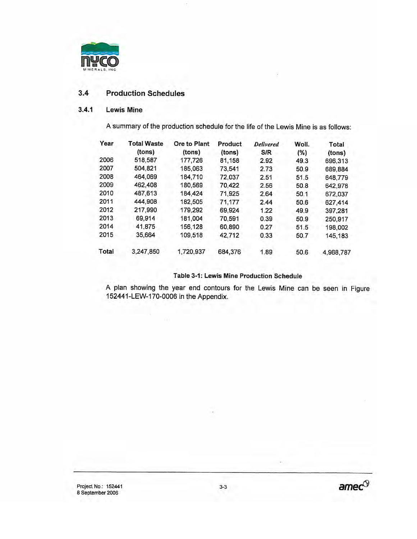

### $3.4$ **Production Schedules**

### $3,4.1$ **Lewis Mine**

A summary of the production schedule for the life of the Lewis Mine is as follows:

| Year  | <b>Total Waste</b> | Ore to Plant | <b>Product</b> | <b>Delivered</b> | Woll. | Total     |
|-------|--------------------|--------------|----------------|------------------|-------|-----------|
|       | (tons)             | (tons)       | (tons)         | S/R              | (%)   | (tons)    |
| 2006  | 518,587            | 177,726      | 81.158         | 2.92             | 49.3  | 696,313   |
| 2007  | 504,821            | 185.063      | 73,541         | 2.73             | 50.9  | 689.884   |
| 2008  | 464,069            | 184.710      | 72.037         | 2.51             | 51.5  | 648,779   |
| 2009  | 462,408            | 180,569      | 70,422         | 2.56             | 50.8  | 642,978   |
| 2010  | 487,613            | 184.424      | 71,925         | 2.64             | 50.1  | 672,037   |
| 2011  | 444,908            | 182,505      | 71,177         | 2.44             | 50.6  | 627,414   |
| 2012  | 217,990            | 179,292      | 69.924         | 1.22             | 49.9  | 397,281   |
| 2013  | 69.914             | 181,004      | 70.591         | 0.39             | 50.9  | 250,917   |
| 2014  | 41,875             | 156,128      | 60,890         | 0.27             | 51.5  | 198,002   |
| 2015  | 35,664             | 109,518      | 42,712         | 0.33             | 50.7  | 145,183   |
| Total | 3,247,850          | 1,720,937    | 684,376        | 1.89             | 50.6  | 4,968,787 |

## Table 3-1: Lewis Mine Production Schedule

A plan showing the year end contours for the Lewis Mine can be seen in Figure 152441-LEW-170-0006 in the Appendix.